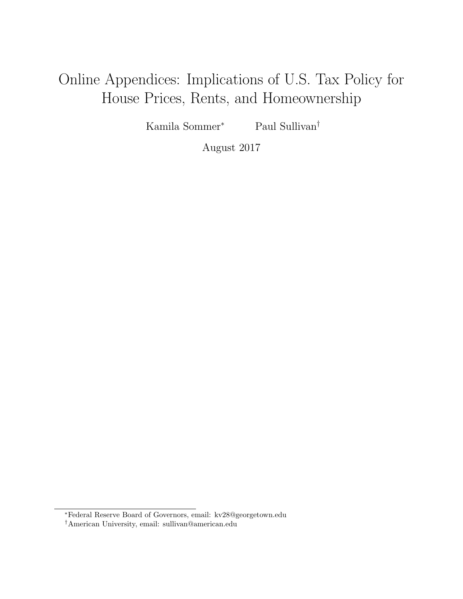# Online Appendices: Implications of U.S. Tax Policy for House Prices, Rents, and Homeownership

Kamila Sommer<sup>∗</sup> Paul Sullivan†

August 2017

<sup>∗</sup>Federal Reserve Board of Governors, email: kv28@georgetown.edu

<sup>†</sup>American University, email: sullivan@american.edu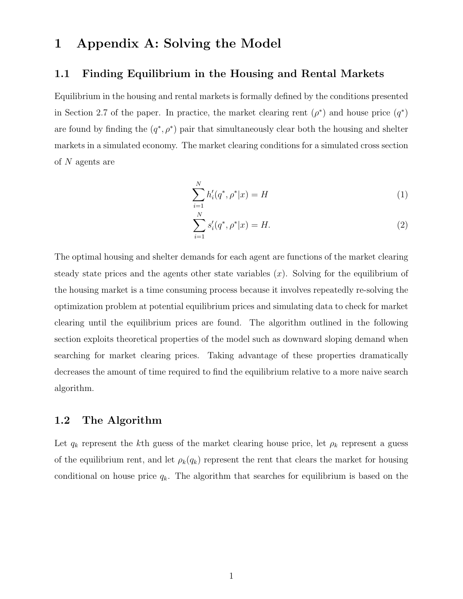### 1 Appendix A: Solving the Model

### 1.1 Finding Equilibrium in the Housing and Rental Markets

Equilibrium in the housing and rental markets is formally defined by the conditions presented in Section 2.7 of the paper. In practice, the market clearing rent  $(\rho^*)$  and house price  $(q^*)$ are found by finding the  $(q^*, \rho^*)$  pair that simultaneously clear both the housing and shelter markets in a simulated economy. The market clearing conditions for a simulated cross section of N agents are

$$
\sum_{i=1}^{N} h_i'(q^*, \rho^* | x) = H \tag{1}
$$

$$
\sum_{i=1}^{N} s_i'(q^*, \rho^* | x) = H.
$$
\n(2)

The optimal housing and shelter demands for each agent are functions of the market clearing steady state prices and the agents other state variables  $(x)$ . Solving for the equilibrium of the housing market is a time consuming process because it involves repeatedly re-solving the optimization problem at potential equilibrium prices and simulating data to check for market clearing until the equilibrium prices are found. The algorithm outlined in the following section exploits theoretical properties of the model such as downward sloping demand when searching for market clearing prices. Taking advantage of these properties dramatically decreases the amount of time required to find the equilibrium relative to a more naive search algorithm.

### 1.2 The Algorithm

Let  $q_k$  represent the kth guess of the market clearing house price, let  $\rho_k$  represent a guess of the equilibrium rent, and let  $\rho_k(q_k)$  represent the rent that clears the market for housing conditional on house price  $q_k$ . The algorithm that searches for equilibrium is based on the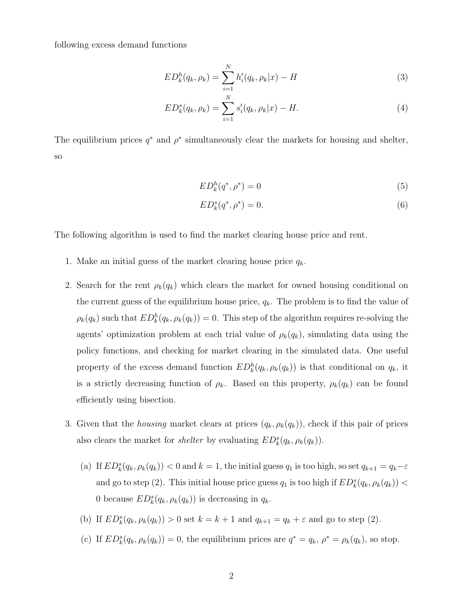following excess demand functions

$$
ED_k^h(q_k, \rho_k) = \sum_{i=1}^N h'_i(q_k, \rho_k | x) - H \tag{3}
$$

$$
ED_k^s(q_k, \rho_k) = \sum_{i=1}^N s_i'(q_k, \rho_k|x) - H.
$$
\n(4)

The equilibrium prices  $q^*$  and  $\rho^*$  simultaneously clear the markets for housing and shelter, so

$$
ED_k^h(q^*,\rho^*) = 0\tag{5}
$$

$$
ED_k^s(q^*,\rho^*) = 0.\tag{6}
$$

The following algorithm is used to find the market clearing house price and rent.

- 1. Make an initial guess of the market clearing house price  $q_k$ .
- 2. Search for the rent  $\rho_k(q_k)$  which clears the market for owned housing conditional on the current guess of the equilibrium house price,  $q_k$ . The problem is to find the value of  $\rho_k(q_k)$  such that  $ED_k^h(q_k, \rho_k(q_k)) = 0$ . This step of the algorithm requires re-solving the agents' optimization problem at each trial value of  $\rho_k(q_k)$ , simulating data using the policy functions, and checking for market clearing in the simulated data. One useful property of the excess demand function  $ED_k^h(q_k, \rho_k(q_k))$  is that conditional on  $q_k$ , it is a strictly decreasing function of  $\rho_k$ . Based on this property,  $\rho_k(q_k)$  can be found efficiently using bisection.
- 3. Given that the *housing* market clears at prices  $(q_k, \rho_k(q_k))$ , check if this pair of prices also clears the market for *shelter* by evaluating  $ED_k^s(q_k, \rho_k(q_k))$ .
	- (a) If  $ED_k^s(q_k, \rho_k(q_k)) < 0$  and  $k = 1$ , the initial guess  $q_1$  is too high, so set  $q_{k+1} = q_k \varepsilon$ and go to step (2). This initial house price guess  $q_1$  is too high if  $ED_k^s(q_k, \rho_k(q_k))$  < 0 because  $ED_k^s(q_k, \rho_k(q_k))$  is decreasing in  $q_k$ .
	- (b) If  $ED_k^s(q_k, \rho_k(q_k)) > 0$  set  $k = k + 1$  and  $q_{k+1} = q_k + \varepsilon$  and go to step (2).
	- (c) If  $ED_k^s(q_k, \rho_k(q_k)) = 0$ , the equilibrium prices are  $q^* = q_k$ ,  $\rho^* = \rho_k(q_k)$ , so stop.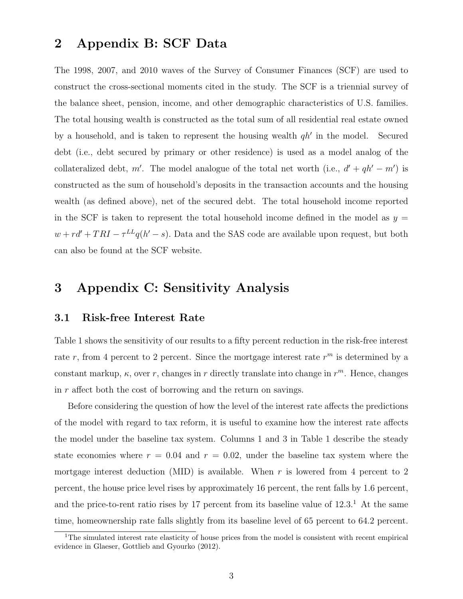### 2 Appendix B: SCF Data

The 1998, 2007, and 2010 waves of the Survey of Consumer Finances (SCF) are used to construct the cross-sectional moments cited in the study. The SCF is a triennial survey of the balance sheet, pension, income, and other demographic characteristics of U.S. families. The total housing wealth is constructed as the total sum of all residential real estate owned by a household, and is taken to represent the housing wealth  $qh'$  in the model. Secured debt (i.e., debt secured by primary or other residence) is used as a model analog of the collateralized debt, m'. The model analogue of the total net worth (i.e.,  $d' + qh' - m'$ ) is constructed as the sum of household's deposits in the transaction accounts and the housing wealth (as defined above), net of the secured debt. The total household income reported in the SCF is taken to represent the total household income defined in the model as  $y =$  $w + rd' + TRI - \tau^{LL}q(h'-s)$ . Data and the SAS code are available upon request, but both can also be found at the SCF website.

### 3 Appendix C: Sensitivity Analysis

#### 3.1 Risk-free Interest Rate

Table 1 shows the sensitivity of our results to a fifty percent reduction in the risk-free interest rate r, from 4 percent to 2 percent. Since the mortgage interest rate  $r<sup>m</sup>$  is determined by a constant markup,  $\kappa$ , over r, changes in r directly translate into change in  $r^m$ . Hence, changes in r affect both the cost of borrowing and the return on savings.

Before considering the question of how the level of the interest rate affects the predictions of the model with regard to tax reform, it is useful to examine how the interest rate affects the model under the baseline tax system. Columns 1 and 3 in Table 1 describe the steady state economies where  $r = 0.04$  and  $r = 0.02$ , under the baseline tax system where the mortgage interest deduction (MID) is available. When  $r$  is lowered from 4 percent to 2 percent, the house price level rises by approximately 16 percent, the rent falls by 1.6 percent, and the price-to-rent ratio rises by 17 percent from its baseline value of  $12.3<sup>1</sup>$ . At the same time, homeownership rate falls slightly from its baseline level of 65 percent to 64.2 percent.

<sup>&</sup>lt;sup>1</sup>The simulated interest rate elasticity of house prices from the model is consistent with recent empirical evidence in Glaeser, Gottlieb and Gyourko (2012).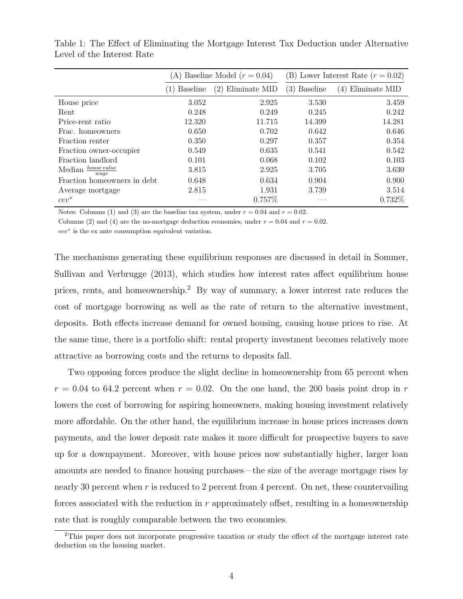|                               | (A) Baseline Model $(r = 0.04)$ |                      | (B) Lower Interest Rate $(r = 0.02)$ |                      |
|-------------------------------|---------------------------------|----------------------|--------------------------------------|----------------------|
|                               | <b>Baseline</b>                 | Eliminate MID<br>(2) | (3)<br><b>Baseline</b>               | Eliminate MID<br>(4) |
| House price                   | 3.052                           | 2.925                | 3.530                                | 3.459                |
| Rent                          | 0.248                           | 0.249                | 0.245                                | 0.242                |
| Price-rent ratio              | 12.320                          | 11.715               | 14.399                               | 14.281               |
| Frac. homeowners              | 0.650                           | 0.702                | 0.642                                | 0.646                |
| Fraction renter               | 0.350                           | 0.297                | 0.357                                | 0.354                |
| Fraction owner-occupier       | 0.549                           | 0.635                | 0.541                                | 0.542                |
| Fraction landlord             | 0.101                           | 0.068                | 0.102                                | 0.103                |
| house value<br>Median<br>waqe | 3.815                           | 2.925                | 3.705                                | 3.630                |
| Fraction homeowners in debt.  | 0.648                           | 0.634                | 0.904                                | 0.900                |
| Average mortgage              | 2.815                           | 1.931                | 3.739                                | 3.514                |
| $cev^*$                       |                                 | 0.757\%              |                                      | 0.732%               |

Table 1: The Effect of Eliminating the Mortgage Interest Tax Deduction under Alternative Level of the Interest Rate

Notes: Columns (1) and (3) are the baseline tax system, under  $r = 0.04$  and  $r = 0.02$ .

Columns (2) and (4) are the no-mortgage deduction economies, under  $r = 0.04$  and  $r = 0.02$ .

cev<sup>∗</sup> is the ex ante consumption equivalent variation.

The mechanisms generating these equilibrium responses are discussed in detail in Sommer, Sullivan and Verbrugge (2013), which studies how interest rates affect equilibrium house prices, rents, and homeownership.<sup>2</sup> By way of summary, a lower interest rate reduces the cost of mortgage borrowing as well as the rate of return to the alternative investment, deposits. Both effects increase demand for owned housing, causing house prices to rise. At the same time, there is a portfolio shift: rental property investment becomes relatively more attractive as borrowing costs and the returns to deposits fall.

Two opposing forces produce the slight decline in homeownership from 65 percent when  $r = 0.04$  to 64.2 percent when  $r = 0.02$ . On the one hand, the 200 basis point drop in r lowers the cost of borrowing for aspiring homeowners, making housing investment relatively more affordable. On the other hand, the equilibrium increase in house prices increases down payments, and the lower deposit rate makes it more difficult for prospective buyers to save up for a downpayment. Moreover, with house prices now substantially higher, larger loan amounts are needed to finance housing purchases—the size of the average mortgage rises by nearly 30 percent when r is reduced to 2 percent from 4 percent. On net, these countervailing forces associated with the reduction in  $r$  approximately offset, resulting in a homeownership rate that is roughly comparable between the two economies.

<sup>2</sup>This paper does not incorporate progressive taxation or study the effect of the mortgage interest rate deduction on the housing market.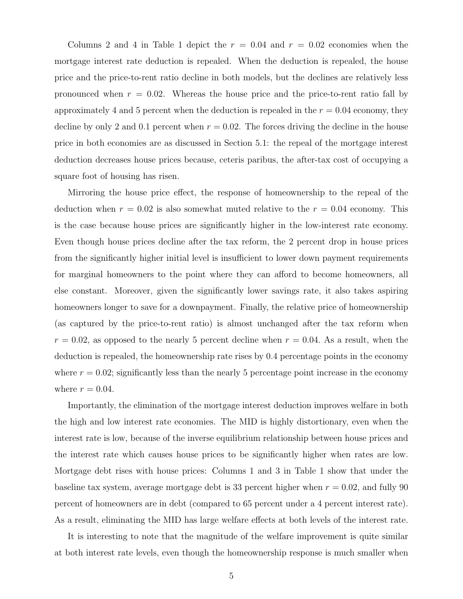Columns 2 and 4 in Table 1 depict the  $r = 0.04$  and  $r = 0.02$  economies when the mortgage interest rate deduction is repealed. When the deduction is repealed, the house price and the price-to-rent ratio decline in both models, but the declines are relatively less pronounced when  $r = 0.02$ . Whereas the house price and the price-to-rent ratio fall by approximately 4 and 5 percent when the deduction is repealed in the  $r = 0.04$  economy, they decline by only 2 and 0.1 percent when  $r = 0.02$ . The forces driving the decline in the house price in both economies are as discussed in Section 5.1: the repeal of the mortgage interest deduction decreases house prices because, ceteris paribus, the after-tax cost of occupying a square foot of housing has risen.

Mirroring the house price effect, the response of homeownership to the repeal of the deduction when  $r = 0.02$  is also somewhat muted relative to the  $r = 0.04$  economy. This is the case because house prices are significantly higher in the low-interest rate economy. Even though house prices decline after the tax reform, the 2 percent drop in house prices from the significantly higher initial level is insufficient to lower down payment requirements for marginal homeowners to the point where they can afford to become homeowners, all else constant. Moreover, given the significantly lower savings rate, it also takes aspiring homeowners longer to save for a downpayment. Finally, the relative price of homeownership (as captured by the price-to-rent ratio) is almost unchanged after the tax reform when  $r = 0.02$ , as opposed to the nearly 5 percent decline when  $r = 0.04$ . As a result, when the deduction is repealed, the homeownership rate rises by 0.4 percentage points in the economy where  $r = 0.02$ ; significantly less than the nearly 5 percentage point increase in the economy where  $r = 0.04$ .

Importantly, the elimination of the mortgage interest deduction improves welfare in both the high and low interest rate economies. The MID is highly distortionary, even when the interest rate is low, because of the inverse equilibrium relationship between house prices and the interest rate which causes house prices to be significantly higher when rates are low. Mortgage debt rises with house prices: Columns 1 and 3 in Table 1 show that under the baseline tax system, average mortgage debt is 33 percent higher when  $r = 0.02$ , and fully 90 percent of homeowners are in debt (compared to 65 percent under a 4 percent interest rate). As a result, eliminating the MID has large welfare effects at both levels of the interest rate.

It is interesting to note that the magnitude of the welfare improvement is quite similar at both interest rate levels, even though the homeownership response is much smaller when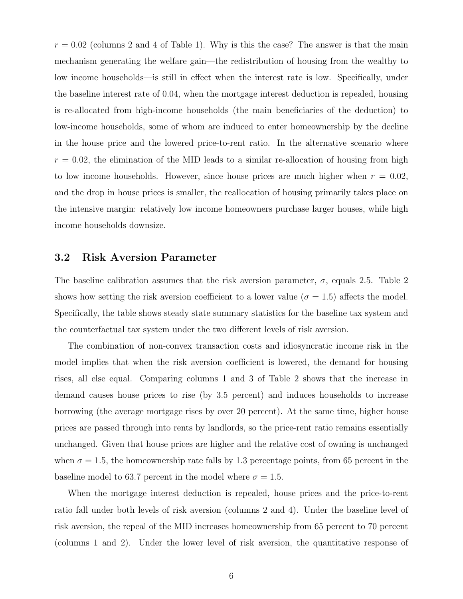$r = 0.02$  (columns 2 and 4 of Table 1). Why is this the case? The answer is that the main mechanism generating the welfare gain—the redistribution of housing from the wealthy to low income households—is still in effect when the interest rate is low. Specifically, under the baseline interest rate of 0.04, when the mortgage interest deduction is repealed, housing is re-allocated from high-income households (the main beneficiaries of the deduction) to low-income households, some of whom are induced to enter homeownership by the decline in the house price and the lowered price-to-rent ratio. In the alternative scenario where  $r = 0.02$ , the elimination of the MID leads to a similar re-allocation of housing from high to low income households. However, since house prices are much higher when  $r = 0.02$ , and the drop in house prices is smaller, the reallocation of housing primarily takes place on the intensive margin: relatively low income homeowners purchase larger houses, while high income households downsize.

### 3.2 Risk Aversion Parameter

The baseline calibration assumes that the risk aversion parameter,  $\sigma$ , equals 2.5. Table 2 shows how setting the risk aversion coefficient to a lower value ( $\sigma = 1.5$ ) affects the model. Specifically, the table shows steady state summary statistics for the baseline tax system and the counterfactual tax system under the two different levels of risk aversion.

The combination of non-convex transaction costs and idiosyncratic income risk in the model implies that when the risk aversion coefficient is lowered, the demand for housing rises, all else equal. Comparing columns 1 and 3 of Table 2 shows that the increase in demand causes house prices to rise (by 3.5 percent) and induces households to increase borrowing (the average mortgage rises by over 20 percent). At the same time, higher house prices are passed through into rents by landlords, so the price-rent ratio remains essentially unchanged. Given that house prices are higher and the relative cost of owning is unchanged when  $\sigma = 1.5$ , the homeownership rate falls by 1.3 percentage points, from 65 percent in the baseline model to 63.7 percent in the model where  $\sigma = 1.5$ .

When the mortgage interest deduction is repealed, house prices and the price-to-rent ratio fall under both levels of risk aversion (columns 2 and 4). Under the baseline level of risk aversion, the repeal of the MID increases homeownership from 65 percent to 70 percent (columns 1 and 2). Under the lower level of risk aversion, the quantitative response of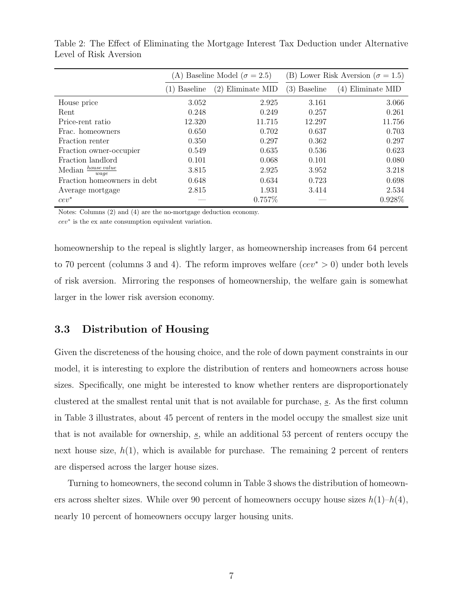|                               | (A) Baseline Model ( $\sigma = 2.5$ ) |                      | (B) Lower Risk Aversion ( $\sigma = 1.5$ ) |                      |
|-------------------------------|---------------------------------------|----------------------|--------------------------------------------|----------------------|
|                               | <b>Baseline</b>                       | (2)<br>Eliminate MID | (3)<br><b>Baseline</b>                     | Eliminate MID<br>(4) |
| House price                   | 3.052                                 | 2.925                | 3.161                                      | 3.066                |
| Rent                          | 0.248                                 | 0.249                | 0.257                                      | 0.261                |
| Price-rent ratio              | 12.320                                | 11.715               | 12.297                                     | 11.756               |
| Frac. homeowners              | 0.650                                 | 0.702                | 0.637                                      | 0.703                |
| Fraction renter               | 0.350                                 | 0.297                | 0.362                                      | 0.297                |
| Fraction owner-occupier       | 0.549                                 | 0.635                | 0.536                                      | 0.623                |
| Fraction landlord             | 0.101                                 | 0.068                | 0.101                                      | 0.080                |
| house value<br>Median<br>waqe | 3.815                                 | 2.925                | 3.952                                      | 3.218                |
| Fraction homeowners in debt.  | 0.648                                 | 0.634                | 0.723                                      | 0.698                |
| Average mortgage              | 2.815                                 | 1.931                | 3.414                                      | 2.534                |
| $cev^*$                       |                                       | 0.757%               |                                            | $0.928\%$            |

Table 2: The Effect of Eliminating the Mortgage Interest Tax Deduction under Alternative Level of Risk Aversion

Notes: Columns (2) and (4) are the no-mortgage deduction economy.

cev<sup>∗</sup> is the ex ante consumption equivalent variation.

homeownership to the repeal is slightly larger, as homeownership increases from 64 percent to 70 percent (columns 3 and 4). The reform improves welfare ( $cev^* > 0$ ) under both levels of risk aversion. Mirroring the responses of homeownership, the welfare gain is somewhat larger in the lower risk aversion economy.

### 3.3 Distribution of Housing

Given the discreteness of the housing choice, and the role of down payment constraints in our model, it is interesting to explore the distribution of renters and homeowners across house sizes. Specifically, one might be interested to know whether renters are disproportionately clustered at the smallest rental unit that is not available for purchase,  $s$ . As the first column in Table 3 illustrates, about 45 percent of renters in the model occupy the smallest size unit that is not available for ownership,  $s$ , while an additional 53 percent of renters occupy the next house size,  $h(1)$ , which is available for purchase. The remaining 2 percent of renters are dispersed across the larger house sizes.

Turning to homeowners, the second column in Table 3 shows the distribution of homeowners across shelter sizes. While over 90 percent of homeowners occupy house sizes  $h(1)-h(4)$ , nearly 10 percent of homeowners occupy larger housing units.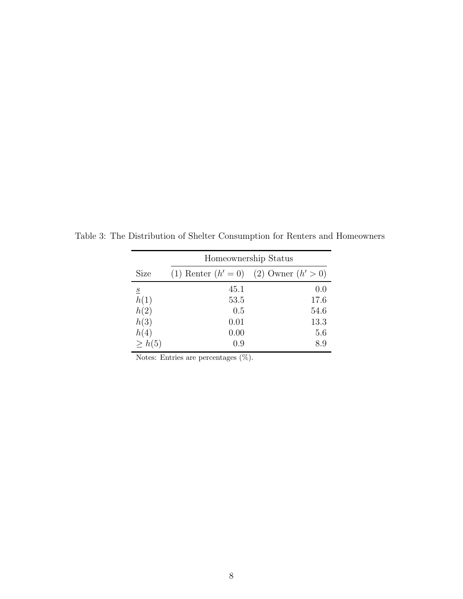|                | Homeownership Status |                                            |  |  |  |
|----------------|----------------------|--------------------------------------------|--|--|--|
| <b>Size</b>    |                      | (1) Renter $(h' = 0)$ (2) Owner $(h' > 0)$ |  |  |  |
| $\overline{S}$ | 45.1                 | 0.0                                        |  |  |  |
| h(1)           | 53.5                 | 17.6                                       |  |  |  |
| h(2)           | 0.5                  | 54.6                                       |  |  |  |
| h(3)           | 0.01                 | 13.3                                       |  |  |  |
| h(4)           | 0.00                 | 5.6                                        |  |  |  |
| $>$ $h(5)$     | 0.9                  | 8.9                                        |  |  |  |

Table 3: The Distribution of Shelter Consumption for Renters and Homeowners

Notes: Entries are percentages (%).